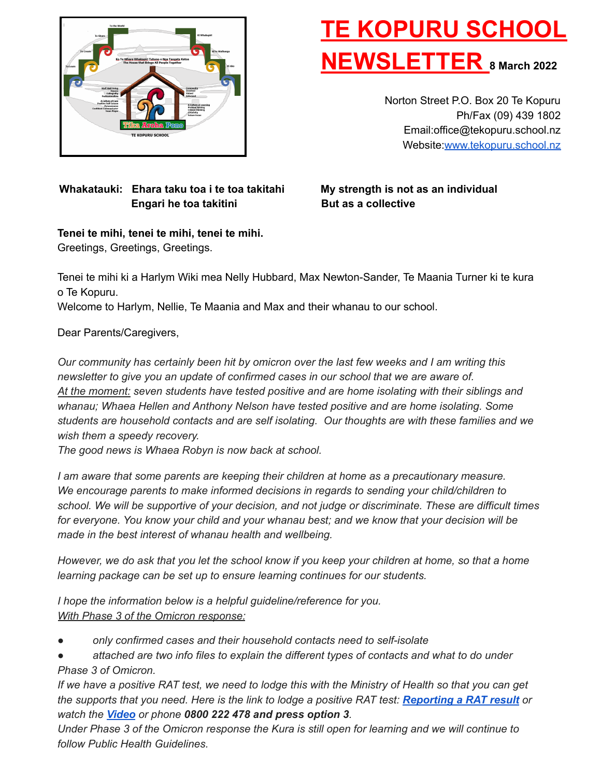

# **TE KOPURU SCHOOL NEWSLETTER <sup>8</sup> March <sup>2022</sup>**

Norton Street P.O. Box 20 Te Kopuru Ph/Fax (09) 439 1802 Email:office@tekopuru.school.nz Website:[www.tekopuru.school.nz](http://www.tekopuru.school.nz)

#### **Whakatauki: Ehara taku toa i te toa takitahi My strength is not as an individual Engari he toa takitini But as a collective**

### **Tenei te mihi, tenei te mihi, tenei te mihi.**

Greetings, Greetings, Greetings.

Tenei te mihi ki a Harlym Wiki mea Nelly Hubbard, Max Newton-Sander, Te Maania Turner ki te kura o Te Kopuru.

Welcome to Harlym, Nellie, Te Maania and Max and their whanau to our school.

Dear Parents/Caregivers,

*Our community has certainly been hit by omicron over the last few weeks and I am writing this newsletter to give you an update of confirmed cases in our school that we are aware of. At the moment: seven students have tested positive and are home isolating with their siblings and whanau; Whaea Hellen and Anthony Nelson have tested positive and are home isolating. Some students are household contacts and are self isolating. Our thoughts are with these families and we wish them a speedy recovery.*

*The good news is Whaea Robyn is now back at school.*

*I am aware that some parents are keeping their children at home as a precautionary measure. We encourage parents to make informed decisions in regards to sending your child/children to school. We will be supportive of your decision, and not judge or discriminate. These are difficult times for everyone. You know your child and your whanau best; and we know that your decision will be made in the best interest of whanau health and wellbeing.*

However, we do ask that you let the school know if you keep your children at home, so that a home *learning package can be set up to ensure learning continues for our students.*

*I hope the information below is a helpful guideline/reference for you. With Phase 3 of the Omicron response:*

- *only confirmed cases and their household contacts need to self-isolate*
- *attached are two info files to explain the different types of contacts and what to do under Phase 3 of Omicron.*

If we have a positive RAT test, we need to lodge this with the Ministry of Health so that you can get the supports that you need. Here is the link to lodge a positive RAT test: [Reporting](https://covid19.govt.nz/testing-and-tracing/covid-19-testing/rapid-antigen-tests-rats/#using-a-rat) a RAT result or *watch the [Video](https://www.youtube.com/watch?v=yGifSro0rf4) or phone 0800 222 478 and press option 3.*

Under Phase 3 of the Omicron response the Kura is still open for learning and we will continue to *follow Public Health Guidelines.*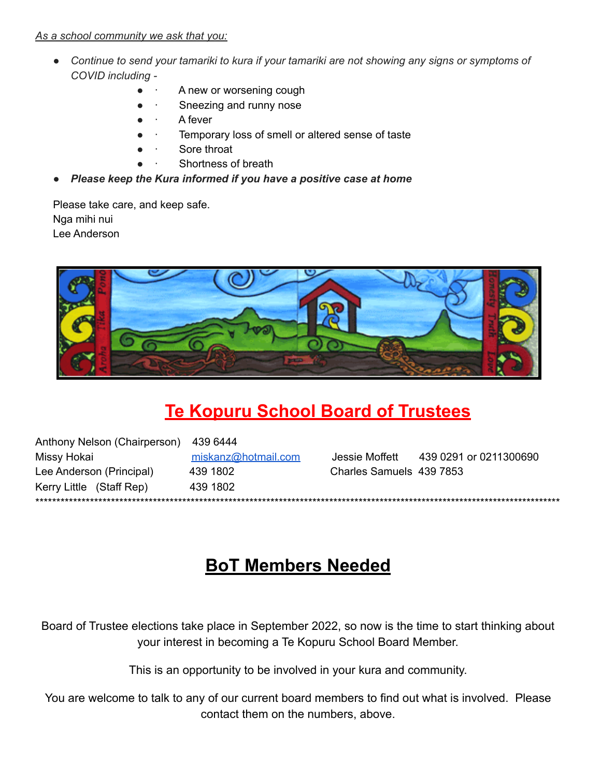#### As a school community we ask that you:

- Continue to send your tamariki to kura if your tamariki are not showing any signs or symptoms of COVID including -
	- A new or worsening cough
	- Sneezing and runny nose
	- A fever
	- Temporary loss of smell or altered sense of taste
	- Sore throat
	- Shortness of breath
- Please keep the Kura informed if you have a positive case at home

Please take care, and keep safe. Nga mihi nui Lee Anderson



# **Te Kopuru School Board of Trustees**

Anthony Nelson (Chairperson) 439 6444 miskanz@hotmail.com Jessie Moffett 439 0291 or 0211300690 Missy Hokai Lee Anderson (Principal) 439 1802 Charles Samuels 439 7853 Kerry Little (Staff Rep) 439 1802 

# **BoT Members Needed**

Board of Trustee elections take place in September 2022, so now is the time to start thinking about your interest in becoming a Te Kopuru School Board Member.

This is an opportunity to be involved in your kura and community.

You are welcome to talk to any of our current board members to find out what is involved. Please contact them on the numbers, above.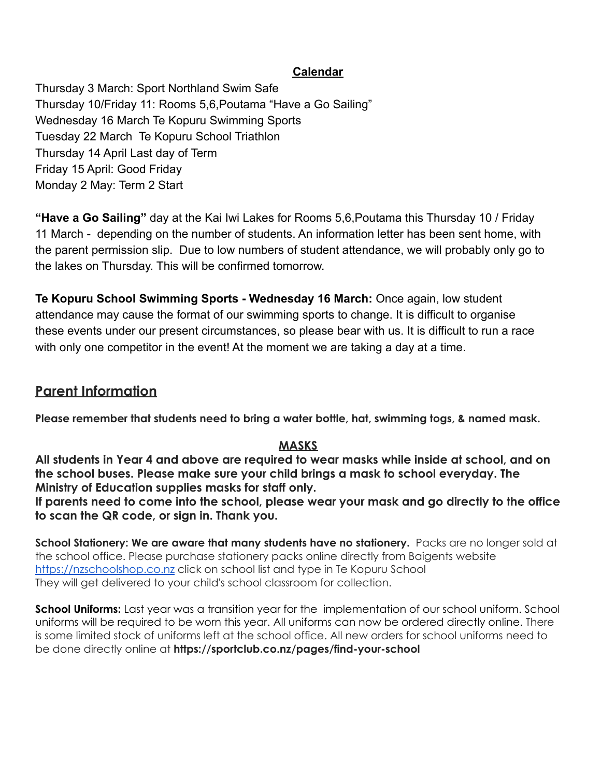#### **Calendar**

Thursday 3 March: Sport Northland Swim Safe Thursday 10/Friday 11: Rooms 5,6,Poutama "Have a Go Sailing" Wednesday 16 March Te Kopuru Swimming Sports Tuesday 22 March Te Kopuru School Triathlon Thursday 14 April Last day of Term Friday 15 April: Good Friday Monday 2 May: Term 2 Start

**"Have a Go Sailing"** day at the Kai Iwi Lakes for Rooms 5,6,Poutama this Thursday 10 / Friday 11 March - depending on the number of students. An information letter has been sent home, with the parent permission slip. Due to low numbers of student attendance, we will probably only go to the lakes on Thursday. This will be confirmed tomorrow.

**Te Kopuru School Swimming Sports - Wednesday 16 March:** Once again, low student attendance may cause the format of our swimming sports to change. It is difficult to organise these events under our present circumstances, so please bear with us. It is difficult to run a race with only one competitor in the event! At the moment we are taking a day at a time.

### **Parent Information**

**Please remember that students need to bring a water bottle, hat, swimming togs, & named mask.**

#### **MASKS**

**All students in Year 4 and above are required to wear masks while inside at school, and on the school buses. Please make sure your child brings a mask to school everyday. The Ministry of Education supplies masks for staff only.**

**If parents need to come into the school, please wear your mask and go directly to the office to scan the QR code, or sign in. Thank you.**

**School Stationery: We are aware that many students have no stationery.** Packs are no longer sold at the school office. Please purchase stationery packs online directly from Baigents website <https://nzschoolshop.co.nz> click on school list and type in Te Kopuru School They will get delivered to your child's school classroom for collection.

**School Uniforms:** Last year was a transition year for the implementation of our school uniform. School uniforms will be required to be worn this year. All uniforms can now be ordered directly online. There is some limited stock of uniforms left at the school office. All new orders for school uniforms need to be done directly online at **https://sportclub.co.nz/pages/find-your-school**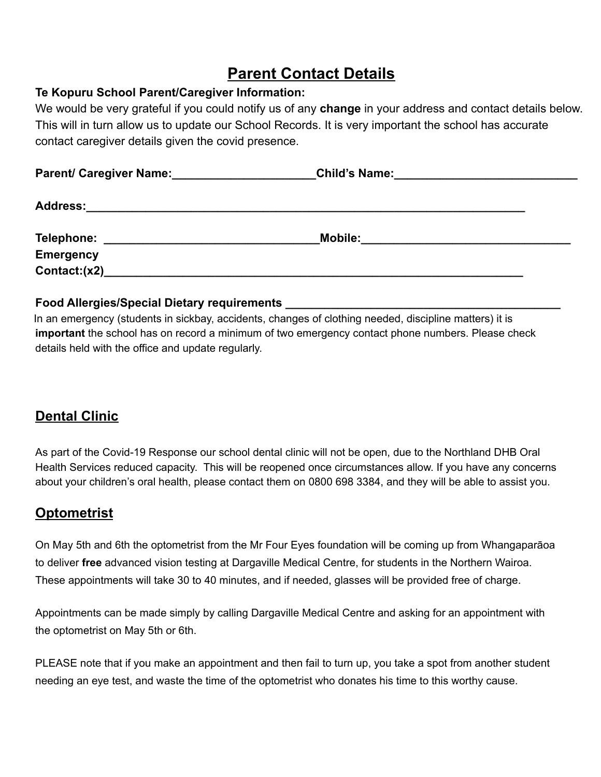# **Parent Contact Details**

#### **Te Kopuru School Parent/Caregiver Information:**

We would be very grateful if you could notify us of any **change** in your address and contact details below. This will in turn allow us to update our School Records. It is very important the school has accurate contact caregiver details given the covid presence.

| Parent/ Caregiver Name: | <b>Child's Name:</b> |  |
|-------------------------|----------------------|--|
| <b>Address:</b>         |                      |  |
| Telephone:              | <b>Mobile:</b>       |  |
| <b>Emergency</b>        |                      |  |
| Contact:(x2)            |                      |  |

#### **Food Allergies/Special Dietary requirements \_\_\_\_\_\_\_\_\_\_\_\_\_\_\_\_\_\_\_\_\_\_\_\_\_\_\_\_\_\_\_\_\_\_\_\_\_\_\_\_\_\_**

In an emergency (students in sickbay, accidents, changes of clothing needed, discipline matters) it is **important** the school has on record a minimum of two emergency contact phone numbers. Please check details held with the office and update regularly.

# **Dental Clinic**

As part of the Covid-19 Response our school dental clinic will not be open, due to the Northland DHB Oral Health Services reduced capacity. This will be reopened once circumstances allow. If you have any concerns about your children's oral health, please contact them on 0800 698 3384, and they will be able to assist you.

### **Optometrist**

On May 5th and 6th the optometrist from the Mr Four Eyes foundation will be coming up from Whangaparāoa to deliver **free** advanced vision testing at Dargaville Medical Centre, for students in the Northern Wairoa. These appointments will take 30 to 40 minutes, and if needed, glasses will be provided free of charge.

Appointments can be made simply by calling Dargaville Medical Centre and asking for an appointment with the optometrist on May 5th or 6th.

PLEASE note that if you make an appointment and then fail to turn up, you take a spot from another student needing an eye test, and waste the time of the optometrist who donates his time to this worthy cause.